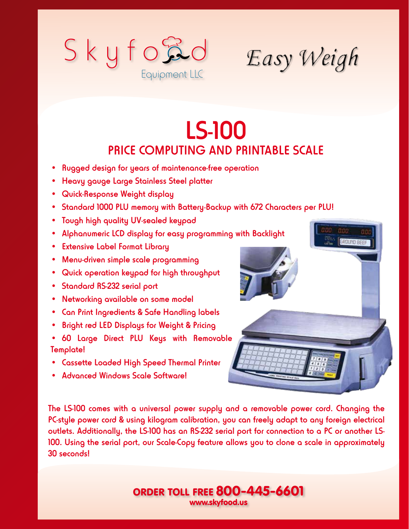

Easy Weigh

## LS-100 PRICE COMPUTING AND PRINTABLE SCALE

- Rugged design for years of maintenance-free operation
- Heavy gauge Large Stainless Steel platter
- Quick-Response Weight display
- Standard 1000 PLU memory with Battery-Backup with 672 Characters per PLU!
- Tough high quality UV-sealed keypad
- Alphanumeric LCD display for easy programming with Backlight
- Extensive Label Format Library
- Menu-driven simple scale programming
- Quick operation keypad for high throughput
- Standard RS-232 serial port
- Networking available on some model
- Can Print Ingredients & Safe Handling labels
- Bright red LED Displays for Weight & Pricing
- 60 Large Direct PLU Keys with Removable Template!
- Cassette Loaded High Speed Thermal Printer
- Advanced Windows Scale Software!



The LS-100 comes with a universal power supply and a removable power cord. Changing the PC-style power cord & using kilogram calibration, you can freely adapt to any foreign electrical outlets. Additionally, the LS-100 has an RS-232 serial port for connection to a PC or another LS-100. Using the serial port, our Scale-Copy feature allows you to clone a scale in approximately 30 seconds!